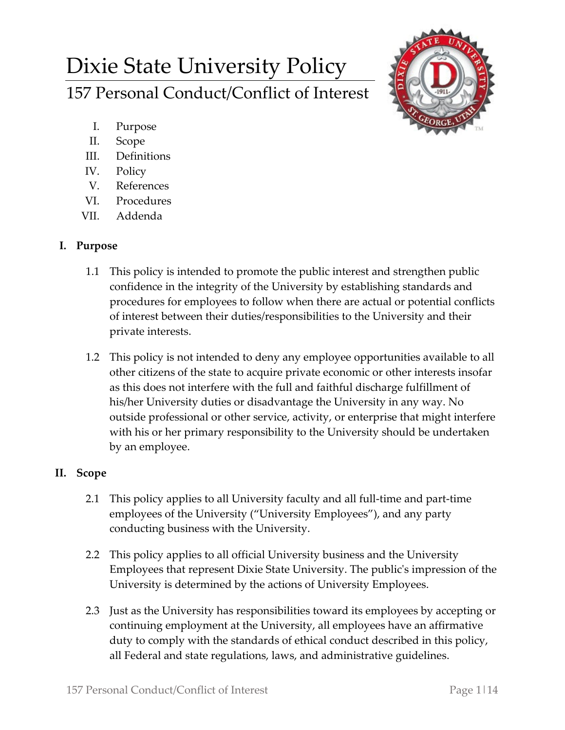# Dixie State University Policy 157 Personal Conduct/Conflict of Interest



- I. Purpose
- II. Scope
- III. Definitions
- IV. Policy
- V. References
- VI. Procedures
- VII. Addenda

## **I. Purpose**

- 1.1 This policy is intended to promote the public interest and strengthen public confidence in the integrity of the University by establishing standards and procedures for employees to follow when there are actual or potential conflicts of interest between their duties/responsibilities to the University and their private interests.
- 1.2 This policy is not intended to deny any employee opportunities available to all other citizens of the state to acquire private economic or other interests insofar as this does not interfere with the full and faithful discharge fulfillment of his/her University duties or disadvantage the University in any way. No outside professional or other service, activity, or enterprise that might interfere with his or her primary responsibility to the University should be undertaken by an employee.

# **II. Scope**

- 2.1 This policy applies to all University faculty and all full-time and part-time employees of the University ("University Employees"), and any party conducting business with the University.
- 2.2 This policy applies to all official University business and the University Employees that represent Dixie State University. The public's impression of the University is determined by the actions of University Employees.
- 2.3 Just as the University has responsibilities toward its employees by accepting or continuing employment at the University, all employees have an affirmative duty to comply with the standards of ethical conduct described in this policy, all Federal and state regulations, laws, and administrative guidelines.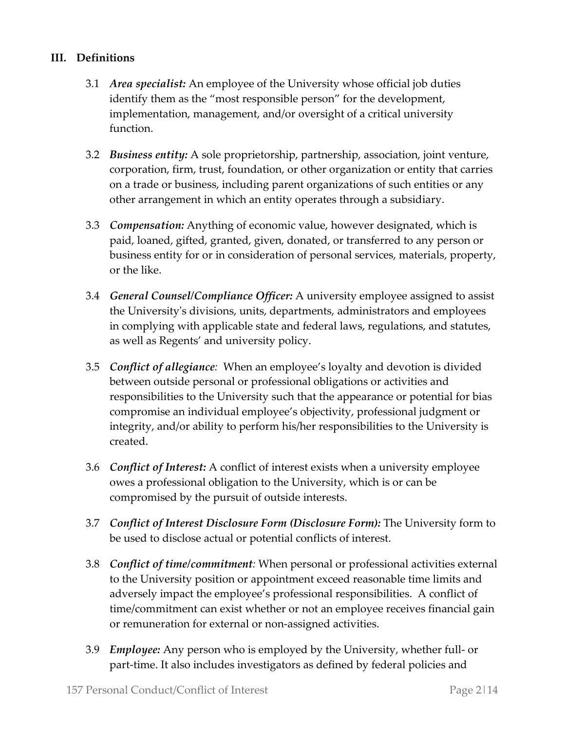#### **III. Definitions**

- 3.1 *Area specialist:* An employee of the University whose official job duties identify them as the "most responsible person" for the development, implementation, management, and/or oversight of a critical university function.
- 3.2 *Business entity:* A sole proprietorship, partnership, association, joint venture, corporation, firm, trust, foundation, or other organization or entity that carries on a trade or business, including parent organizations of such entities or any other arrangement in which an entity operates through a subsidiary.
- 3.3 *Compensation:* Anything of economic value, however designated, which is paid, loaned, gifted, granted, given, donated, or transferred to any person or business entity for or in consideration of personal services, materials, property, or the like.
- 3.4 *General Counsel/Compliance Officer:* A university employee assigned to assist the University's divisions, units, departments, administrators and employees in complying with applicable state and federal laws, regulations, and statutes, as well as Regents' and university policy.
- 3.5 *Conflict of allegiance:* When an employee's loyalty and devotion is divided between outside personal or professional obligations or activities and responsibilities to the University such that the appearance or potential for bias compromise an individual employee's objectivity, professional judgment or integrity, and/or ability to perform his/her responsibilities to the University is created.
- 3.6 *Conflict of Interest:* A conflict of interest exists when a university employee owes a professional obligation to the University, which is or can be compromised by the pursuit of outside interests.
- 3.7 *Conflict of Interest Disclosure Form (Disclosure Form):* The University form to be used to disclose actual or potential conflicts of interest.
- 3.8 *Conflict of time/commitment:* When personal or professional activities external to the University position or appointment exceed reasonable time limits and adversely impact the employee's professional responsibilities. A conflict of time/commitment can exist whether or not an employee receives financial gain or remuneration for external or non-assigned activities.
- 3.9 *Employee:* Any person who is employed by the University, whether full- or part-time. It also includes investigators as defined by federal policies and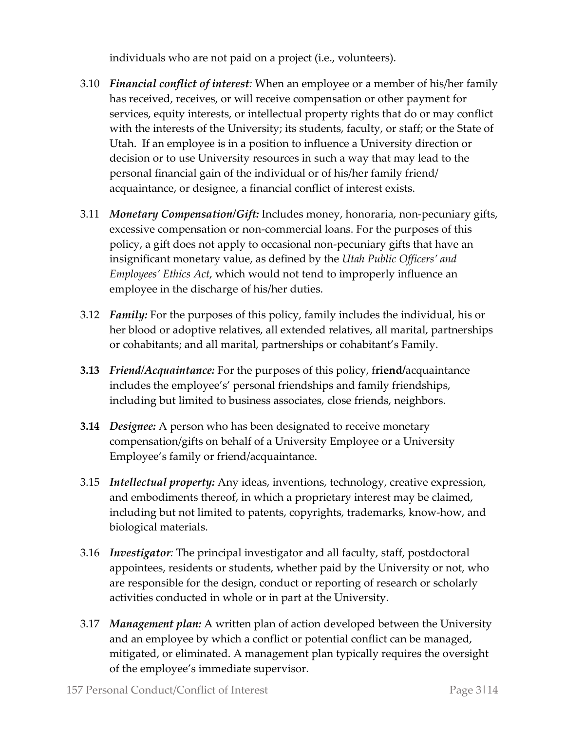individuals who are not paid on a project (i.e., volunteers).

- 3.10 *Financial conflict of interest:* When an employee or a member of his/her family has received, receives, or will receive compensation or other payment for services, equity interests, or intellectual property rights that do or may conflict with the interests of the University; its students, faculty, or staff; or the State of Utah. If an employee is in a position to influence a University direction or decision or to use University resources in such a way that may lead to the personal financial gain of the individual or of his/her family friend/ acquaintance, or designee, a financial conflict of interest exists.
- 3.11 *Monetary Compensation/Gift:* Includes money, honoraria, non-pecuniary gifts, excessive compensation or non-commercial loans. For the purposes of this policy, a gift does not apply to occasional non-pecuniary gifts that have an insignificant monetary value, as defined by the *Utah Public Officers' and Employees' Ethics Act*, which would not tend to improperly influence an employee in the discharge of his/her duties.
- 3.12 *Family:* For the purposes of this policy, family includes the individual, his or her blood or adoptive relatives, all extended relatives, all marital, partnerships or cohabitants; and all marital, partnerships or cohabitant's Family.
- **3.13** *Friend/Acquaintance:* For the purposes of this policy, f**riend/**acquaintance includes the employee's' personal friendships and family friendships, including but limited to business associates, close friends, neighbors.
- **3.14** *Designee:* A person who has been designated to receive monetary compensation/gifts on behalf of a University Employee or a University Employee's family or friend/acquaintance.
- 3.15 *Intellectual property:* Any ideas, inventions, technology, creative expression, and embodiments thereof, in which a proprietary interest may be claimed, including but not limited to patents, copyrights, trademarks, know-how, and biological materials.
- 3.16 *Investigator:* The principal investigator and all faculty, staff, postdoctoral appointees, residents or students, whether paid by the University or not, who are responsible for the design, conduct or reporting of research or scholarly activities conducted in whole or in part at the University.
- 3.17 *Management plan:* A written plan of action developed between the University and an employee by which a conflict or potential conflict can be managed, mitigated, or eliminated. A management plan typically requires the oversight of the employee's immediate supervisor.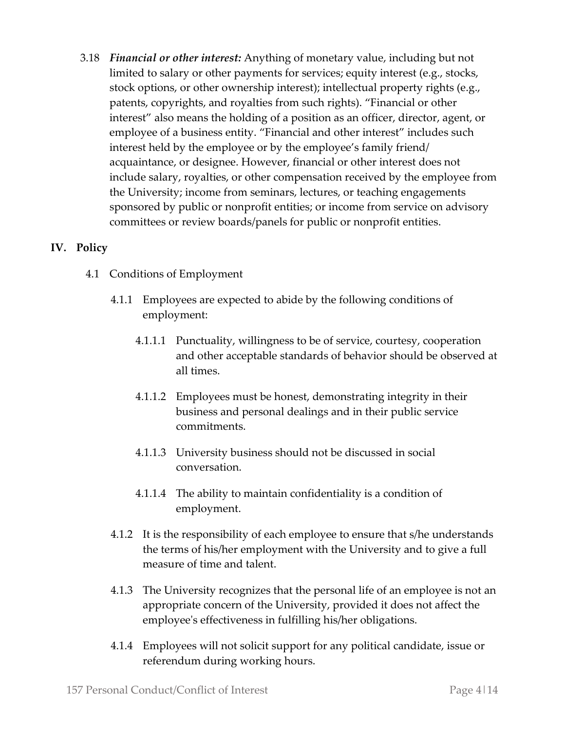3.18 *Financial or other interest:* Anything of monetary value, including but not limited to salary or other payments for services; equity interest (e.g., stocks, stock options, or other ownership interest); intellectual property rights (e.g., patents, copyrights, and royalties from such rights). "Financial or other interest" also means the holding of a position as an officer, director, agent, or employee of a business entity. "Financial and other interest" includes such interest held by the employee or by the employee's family friend/ acquaintance, or designee. However, financial or other interest does not include salary, royalties, or other compensation received by the employee from the University; income from seminars, lectures, or teaching engagements sponsored by public or nonprofit entities; or income from service on advisory committees or review boards/panels for public or nonprofit entities.

#### **IV. Policy**

- 4.1 Conditions of Employment
	- 4.1.1 Employees are expected to abide by the following conditions of employment:
		- 4.1.1.1 Punctuality, willingness to be of service, courtesy, cooperation and other acceptable standards of behavior should be observed at all times.
		- 4.1.1.2 Employees must be honest, demonstrating integrity in their business and personal dealings and in their public service commitments.
		- 4.1.1.3 University business should not be discussed in social conversation.
		- 4.1.1.4 The ability to maintain confidentiality is a condition of employment.
	- 4.1.2 It is the responsibility of each employee to ensure that s/he understands the terms of his/her employment with the University and to give a full measure of time and talent.
	- 4.1.3 The University recognizes that the personal life of an employee is not an appropriate concern of the University, provided it does not affect the employee's effectiveness in fulfilling his/her obligations.
	- 4.1.4 Employees will not solicit support for any political candidate, issue or referendum during working hours.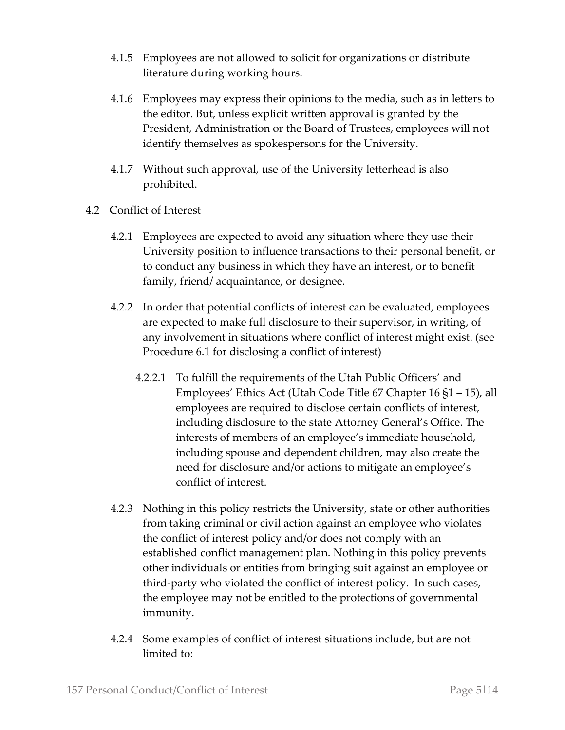- 4.1.5 Employees are not allowed to solicit for organizations or distribute literature during working hours.
- 4.1.6 Employees may express their opinions to the media, such as in letters to the editor. But, unless explicit written approval is granted by the President, Administration or the Board of Trustees, employees will not identify themselves as spokespersons for the University.
- 4.1.7 Without such approval, use of the University letterhead is also prohibited.
- 4.2 Conflict of Interest
	- 4.2.1 Employees are expected to avoid any situation where they use their University position to influence transactions to their personal benefit, or to conduct any business in which they have an interest, or to benefit family, friend/ acquaintance, or designee.
	- 4.2.2 In order that potential conflicts of interest can be evaluated, employees are expected to make full disclosure to their supervisor, in writing, of any involvement in situations where conflict of interest might exist. (see Procedure 6.1 for disclosing a conflict of interest)
		- 4.2.2.1 To fulfill the requirements of the Utah Public Officers' and Employees' Ethics Act (Utah Code Title 67 Chapter 16 §1 – 15), all employees are required to disclose certain conflicts of interest, including disclosure to the state Attorney General's Office. The interests of members of an employee's immediate household, including spouse and dependent children, may also create the need for disclosure and/or actions to mitigate an employee's conflict of interest.
	- 4.2.3 Nothing in this policy restricts the University, state or other authorities from taking criminal or civil action against an employee who violates the conflict of interest policy and/or does not comply with an established conflict management plan. Nothing in this policy prevents other individuals or entities from bringing suit against an employee or third-party who violated the conflict of interest policy. In such cases, the employee may not be entitled to the protections of governmental immunity.
	- 4.2.4 Some examples of conflict of interest situations include, but are not limited to: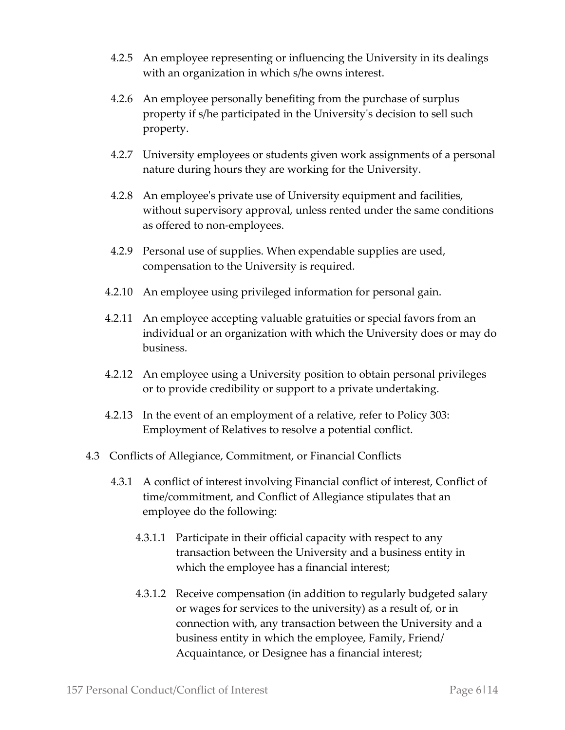- 4.2.5 An employee representing or influencing the University in its dealings with an organization in which s/he owns interest.
- 4.2.6 An employee personally benefiting from the purchase of surplus property if s/he participated in the University's decision to sell such property.
- 4.2.7 University employees or students given work assignments of a personal nature during hours they are working for the University.
- 4.2.8 An employee's private use of University equipment and facilities, without supervisory approval, unless rented under the same conditions as offered to non-employees.
- 4.2.9 Personal use of supplies. When expendable supplies are used, compensation to the University is required.
- 4.2.10 An employee using privileged information for personal gain.
- 4.2.11 An employee accepting valuable gratuities or special favors from an individual or an organization with which the University does or may do business.
- 4.2.12 An employee using a University position to obtain personal privileges or to provide credibility or support to a private undertaking.
- 4.2.13 In the event of an employment of a relative, refer to Policy 303: Employment of Relatives to resolve a potential conflict.
- 4.3 Conflicts of Allegiance, Commitment, or Financial Conflicts
	- 4.3.1 A conflict of interest involving Financial conflict of interest, Conflict of time/commitment, and Conflict of Allegiance stipulates that an employee do the following:
		- 4.3.1.1 Participate in their official capacity with respect to any transaction between the University and a business entity in which the employee has a financial interest;
		- 4.3.1.2 Receive compensation (in addition to regularly budgeted salary or wages for services to the university) as a result of, or in connection with, any transaction between the University and a business entity in which the employee, Family, Friend/ Acquaintance, or Designee has a financial interest;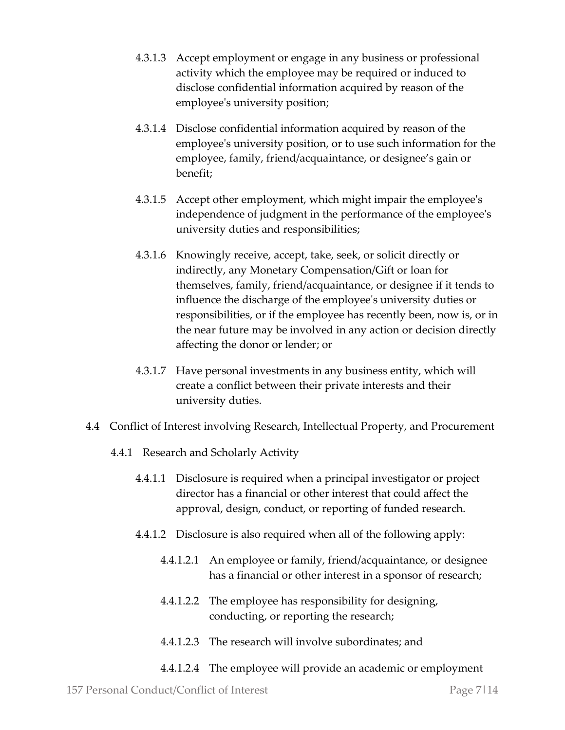- 4.3.1.3 Accept employment or engage in any business or professional activity which the employee may be required or induced to disclose confidential information acquired by reason of the employee's university position;
- 4.3.1.4 Disclose confidential information acquired by reason of the employee's university position, or to use such information for the employee, family, friend/acquaintance, or designee's gain or benefit;
- 4.3.1.5 Accept other employment, which might impair the employee's independence of judgment in the performance of the employee's university duties and responsibilities;
- 4.3.1.6 Knowingly receive, accept, take, seek, or solicit directly or indirectly, any Monetary Compensation/Gift or loan for themselves, family, friend/acquaintance, or designee if it tends to influence the discharge of the employee's university duties or responsibilities, or if the employee has recently been, now is, or in the near future may be involved in any action or decision directly affecting the donor or lender; or
- 4.3.1.7 Have personal investments in any business entity, which will create a conflict between their private interests and their university duties.
- 4.4 Conflict of Interest involving Research, Intellectual Property, and Procurement
	- 4.4.1 Research and Scholarly Activity
		- 4.4.1.1 Disclosure is required when a principal investigator or project director has a financial or other interest that could affect the approval, design, conduct, or reporting of funded research.
		- 4.4.1.2 Disclosure is also required when all of the following apply:
			- 4.4.1.2.1 An employee or family, friend/acquaintance, or designee has a financial or other interest in a sponsor of research;
			- 4.4.1.2.2 The employee has responsibility for designing, conducting, or reporting the research;
			- 4.4.1.2.3 The research will involve subordinates; and
			- 4.4.1.2.4 The employee will provide an academic or employment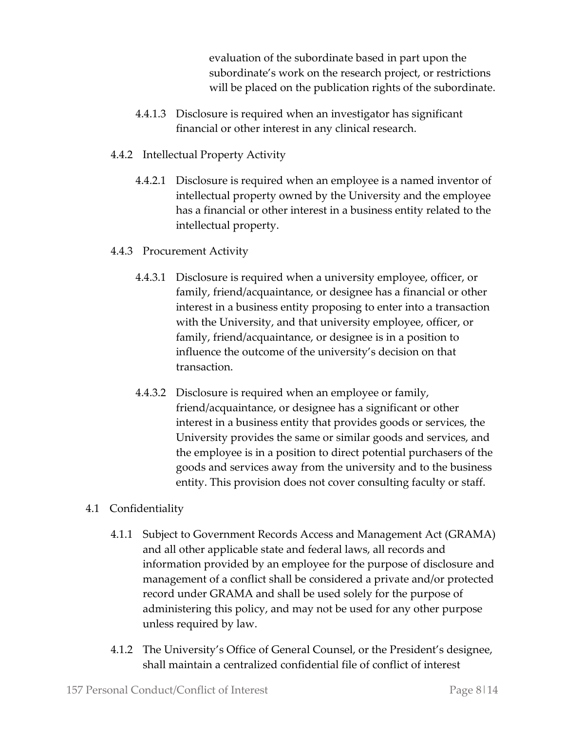evaluation of the subordinate based in part upon the subordinate's work on the research project, or restrictions will be placed on the publication rights of the subordinate.

- 4.4.1.3 Disclosure is required when an investigator has significant financial or other interest in any clinical research.
- 4.4.2 Intellectual Property Activity
	- 4.4.2.1 Disclosure is required when an employee is a named inventor of intellectual property owned by the University and the employee has a financial or other interest in a business entity related to the intellectual property.
- 4.4.3 Procurement Activity
	- 4.4.3.1 Disclosure is required when a university employee, officer, or family, friend/acquaintance, or designee has a financial or other interest in a business entity proposing to enter into a transaction with the University, and that university employee, officer, or family, friend/acquaintance, or designee is in a position to influence the outcome of the university's decision on that transaction.
	- 4.4.3.2 Disclosure is required when an employee or family, friend/acquaintance, or designee has a significant or other interest in a business entity that provides goods or services, the University provides the same or similar goods and services, and the employee is in a position to direct potential purchasers of the goods and services away from the university and to the business entity. This provision does not cover consulting faculty or staff.

## 4.1 Confidentiality

- 4.1.1 Subject to Government Records Access and Management Act (GRAMA) and all other applicable state and federal laws, all records and information provided by an employee for the purpose of disclosure and management of a conflict shall be considered a private and/or protected record under GRAMA and shall be used solely for the purpose of administering this policy, and may not be used for any other purpose unless required by law.
- 4.1.2 The University's Office of General Counsel, or the President's designee, shall maintain a centralized confidential file of conflict of interest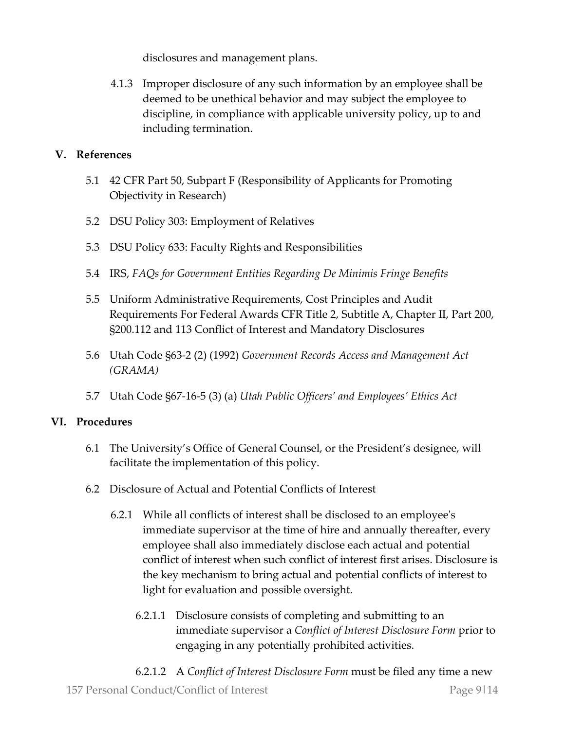disclosures and management plans.

4.1.3 Improper disclosure of any such information by an employee shall be deemed to be unethical behavior and may subject the employee to discipline, in compliance with applicable university policy, up to and including termination.

#### **V. References**

- 5.1 42 CFR Part 50, Subpart F (Responsibility of Applicants for Promoting Objectivity in Research)
- 5.2 DSU Policy 303: Employment of Relatives
- 5.3 DSU Policy 633: Faculty Rights and Responsibilities
- 5.4 IRS, *FAQs for Government Entities Regarding De Minimis Fringe Benefits*
- 5.5 Uniform Administrative Requirements, Cost Principles and Audit Requirements For Federal Awards CFR Title 2, Subtitle A, Chapter II, Part 200, §200.112 and 113 Conflict of Interest and Mandatory Disclosures
- 5.6 Utah Code §63-2 (2) (1992) *Government Records Access and Management Act (GRAMA)*
- 5.7 Utah Code §67-16-5 (3) (a) *Utah Public Officers' and Employees' Ethics Act*

#### **VI. Procedures**

- 6.1 The University's Office of General Counsel, or the President's designee, will facilitate the implementation of this policy.
- 6.2 Disclosure of Actual and Potential Conflicts of Interest
	- 6.2.1 While all conflicts of interest shall be disclosed to an employee's immediate supervisor at the time of hire and annually thereafter, every employee shall also immediately disclose each actual and potential conflict of interest when such conflict of interest first arises. Disclosure is the key mechanism to bring actual and potential conflicts of interest to light for evaluation and possible oversight.
		- 6.2.1.1 Disclosure consists of completing and submitting to an immediate supervisor a *Conflict of Interest Disclosure Form* prior to engaging in any potentially prohibited activities.
- 157 Personal Conduct/Conflict of Interest Page 9|14 6.2.1.2 A *Conflict of Interest Disclosure Form* must be filed any time a new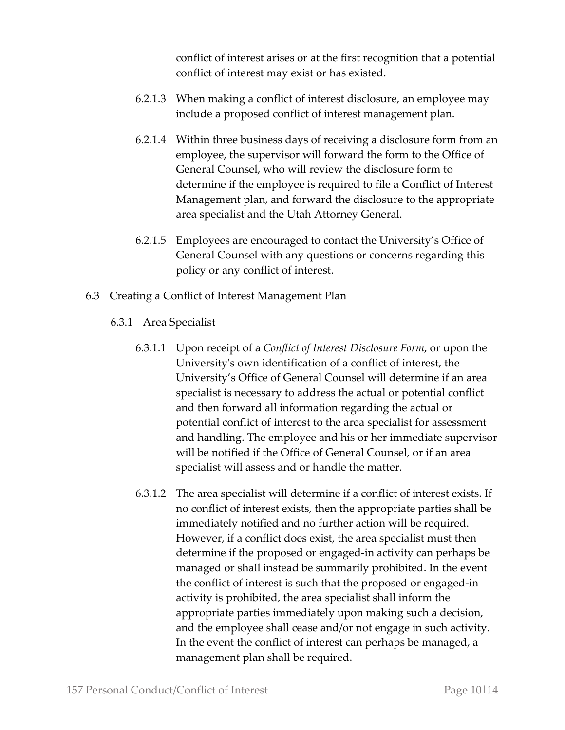conflict of interest arises or at the first recognition that a potential conflict of interest may exist or has existed.

- 6.2.1.3 When making a conflict of interest disclosure, an employee may include a proposed conflict of interest management plan.
- 6.2.1.4 Within three business days of receiving a disclosure form from an employee, the supervisor will forward the form to the Office of General Counsel, who will review the disclosure form to determine if the employee is required to file a Conflict of Interest Management plan, and forward the disclosure to the appropriate area specialist and the Utah Attorney General.
- 6.2.1.5 Employees are encouraged to contact the University's Office of General Counsel with any questions or concerns regarding this policy or any conflict of interest.
- 6.3 Creating a Conflict of Interest Management Plan
	- 6.3.1 Area Specialist
		- 6.3.1.1 Upon receipt of a *Conflict of Interest Disclosure Form*, or upon the University's own identification of a conflict of interest, the University's Office of General Counsel will determine if an area specialist is necessary to address the actual or potential conflict and then forward all information regarding the actual or potential conflict of interest to the area specialist for assessment and handling. The employee and his or her immediate supervisor will be notified if the Office of General Counsel, or if an area specialist will assess and or handle the matter.
		- 6.3.1.2 The area specialist will determine if a conflict of interest exists. If no conflict of interest exists, then the appropriate parties shall be immediately notified and no further action will be required. However, if a conflict does exist, the area specialist must then determine if the proposed or engaged-in activity can perhaps be managed or shall instead be summarily prohibited. In the event the conflict of interest is such that the proposed or engaged-in activity is prohibited, the area specialist shall inform the appropriate parties immediately upon making such a decision, and the employee shall cease and/or not engage in such activity. In the event the conflict of interest can perhaps be managed, a management plan shall be required.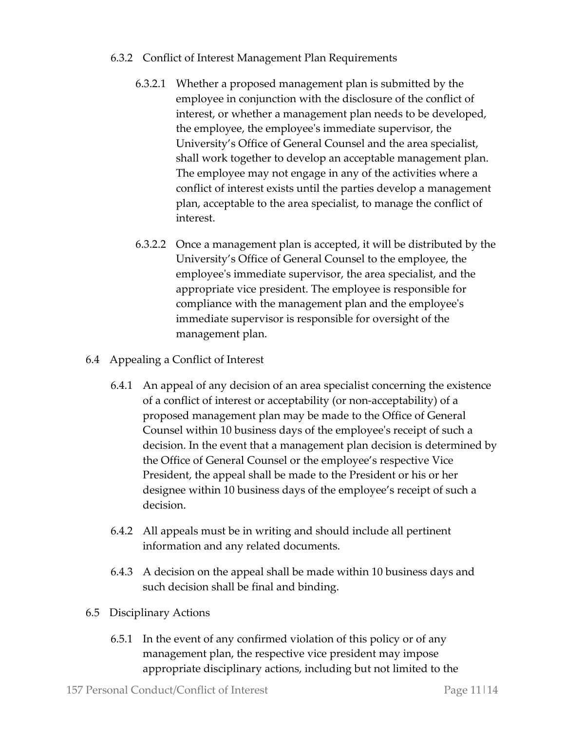#### 6.3.2 Conflict of Interest Management Plan Requirements

- 6.3.2.1 Whether a proposed management plan is submitted by the employee in conjunction with the disclosure of the conflict of interest, or whether a management plan needs to be developed, the employee, the employee's immediate supervisor, the University's Office of General Counsel and the area specialist, shall work together to develop an acceptable management plan. The employee may not engage in any of the activities where a conflict of interest exists until the parties develop a management plan, acceptable to the area specialist, to manage the conflict of interest.
- 6.3.2.2 Once a management plan is accepted, it will be distributed by the University's Office of General Counsel to the employee, the employee's immediate supervisor, the area specialist, and the appropriate vice president. The employee is responsible for compliance with the management plan and the employee's immediate supervisor is responsible for oversight of the management plan.
- 6.4 Appealing a Conflict of Interest
	- 6.4.1 An appeal of any decision of an area specialist concerning the existence of a conflict of interest or acceptability (or non-acceptability) of a proposed management plan may be made to the Office of General Counsel within 10 business days of the employee's receipt of such a decision. In the event that a management plan decision is determined by the Office of General Counsel or the employee's respective Vice President, the appeal shall be made to the President or his or her designee within 10 business days of the employee's receipt of such a decision.
	- 6.4.2 All appeals must be in writing and should include all pertinent information and any related documents.
	- 6.4.3 A decision on the appeal shall be made within 10 business days and such decision shall be final and binding.
- 6.5 Disciplinary Actions
	- 6.5.1 In the event of any confirmed violation of this policy or of any management plan, the respective vice president may impose appropriate disciplinary actions, including but not limited to the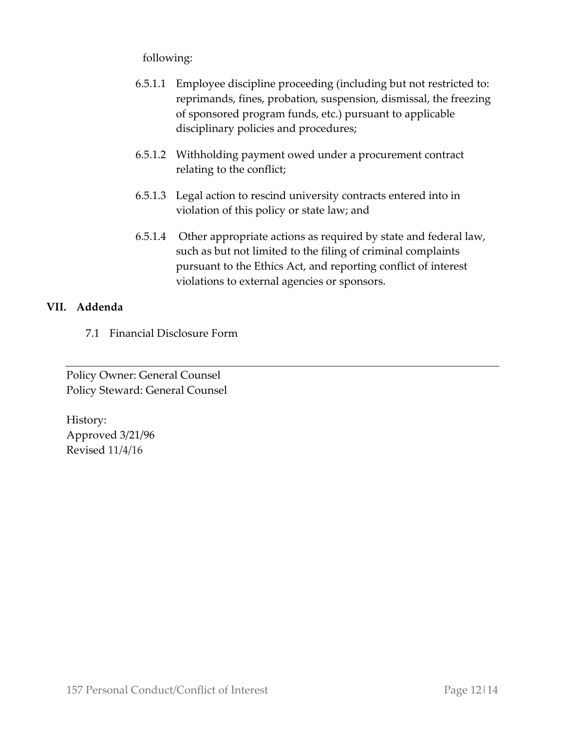following:

- 6.5.1.1 Employee discipline proceeding (including but not restricted to: reprimands, fines, probation, suspension, dismissal, the freezing of sponsored program funds, etc.) pursuant to applicable disciplinary policies and procedures;
- 6.5.1.2 Withholding payment owed under a procurement contract relating to the conflict;
- 6.5.1.3 Legal action to rescind university contracts entered into in violation of this policy or state law; and
- 6.5.1.4 Other appropriate actions as required by state and federal law, such as but not limited to the filing of criminal complaints pursuant to the Ethics Act, and reporting conflict of interest violations to external agencies or sponsors.

### **VII. Addenda**

7.1 Financial Disclosure Form

Policy Owner: General Counsel Policy Steward: General Counsel

History: Approved 3/21/96 Revised 11/4/16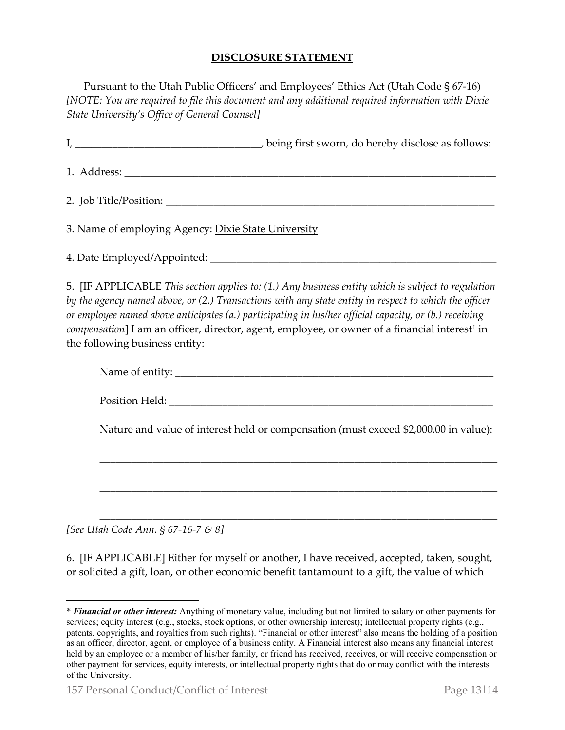#### **DISCLOSURE STATEMENT**

Pursuant to the Utah Public Officers' and Employees' Ethics Act (Utah Code § 67-16) *[NOTE: You are required to file this document and any additional required information with Dixie State University's Office of General Counsel]*

|                                                     | being first sworn, do hereby disclose as follows: |
|-----------------------------------------------------|---------------------------------------------------|
|                                                     |                                                   |
|                                                     |                                                   |
| 3. Name of employing Agency: Dixie State University |                                                   |
| 4. Date Employed/Appointed:                         |                                                   |

5. [IF APPLICABLE *This section applies to: (1.) Any business entity which is subject to regulation by the agency named above, or (2.) Transactions with any state entity in respect to which the officer or employee named above anticipates (a.) participating in his/her official capacity, or (b.) receiving compensation*] I am an officer, director, agent, employee, or owner of a financial interest<sup>[1](#page-12-0)</sup> in the following business entity:

| Name of entity: |  |
|-----------------|--|
|                 |  |

Position Held:  $\blacksquare$ 

Nature and value of interest held or compensation (must exceed \$2,000.00 in value):

\_\_\_\_\_\_\_\_\_\_\_\_\_\_\_\_\_\_\_\_\_\_\_\_\_\_\_\_\_\_\_\_\_\_\_\_\_\_\_\_\_\_\_\_\_\_\_\_\_\_\_\_\_\_\_\_\_\_\_\_\_\_\_\_\_\_\_\_\_\_\_\_\_\_\_

\_\_\_\_\_\_\_\_\_\_\_\_\_\_\_\_\_\_\_\_\_\_\_\_\_\_\_\_\_\_\_\_\_\_\_\_\_\_\_\_\_\_\_\_\_\_\_\_\_\_\_\_\_\_\_\_\_\_\_\_\_\_\_\_\_\_\_\_\_\_\_\_\_\_\_

\_\_\_\_\_\_\_\_\_\_\_\_\_\_\_\_\_\_\_\_\_\_\_\_\_\_\_\_\_\_\_\_\_\_\_\_\_\_\_\_\_\_\_\_\_\_\_\_\_\_\_\_\_\_\_\_\_\_\_\_\_\_\_\_\_\_\_\_\_\_\_\_\_\_\_

*[See Utah Code Ann. § 67-16-7 & 8]*

 $\overline{a}$ 

6. [IF APPLICABLE] Either for myself or another, I have received, accepted, taken, sought, or solicited a gift, loan, or other economic benefit tantamount to a gift, the value of which

<span id="page-12-0"></span><sup>\*</sup> *Financial or other interest:* Anything of monetary value, including but not limited to salary or other payments for services; equity interest (e.g., stocks, stock options, or other ownership interest); intellectual property rights (e.g., patents, copyrights, and royalties from such rights). "Financial or other interest" also means the holding of a position as an officer, director, agent, or employee of a business entity. A Financial interest also means any financial interest held by an employee or a member of his/her family, or friend has received, receives, or will receive compensation or other payment for services, equity interests, or intellectual property rights that do or may conflict with the interests of the University.